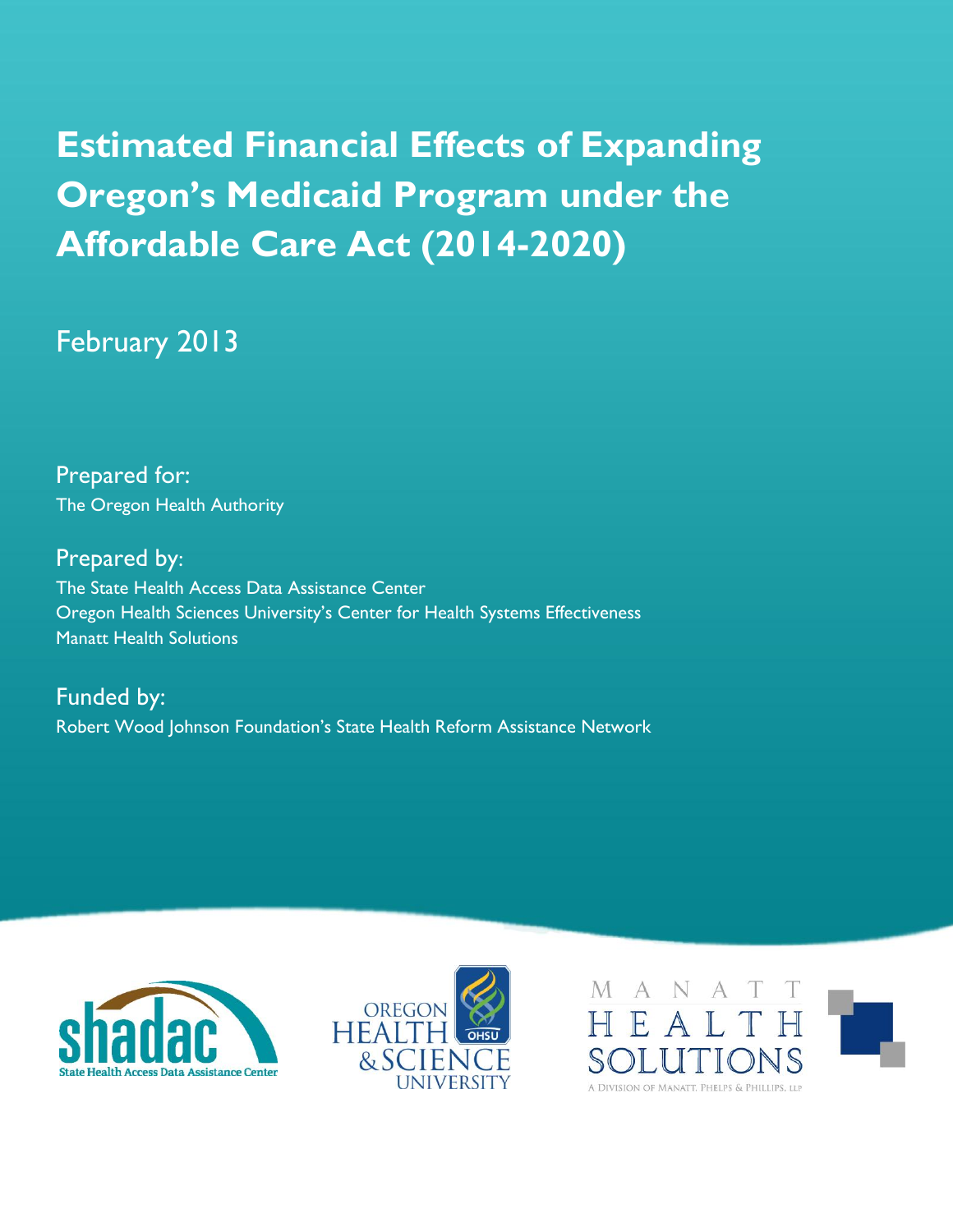# **Estimated Financial Effects of Expanding Oregon's Medicaid Program under the Affordable Care Act (2014-2020)**

## February 2013

Prepared for: The Oregon Health Authority

Prepared by: The State Health Access Data Assistance Center Oregon Health Sciences University's Center for Health Systems Effectiveness Manatt Health Solutions

Funded by: Robert Wood Johnson Foundation's State Health Reform Assistance Network





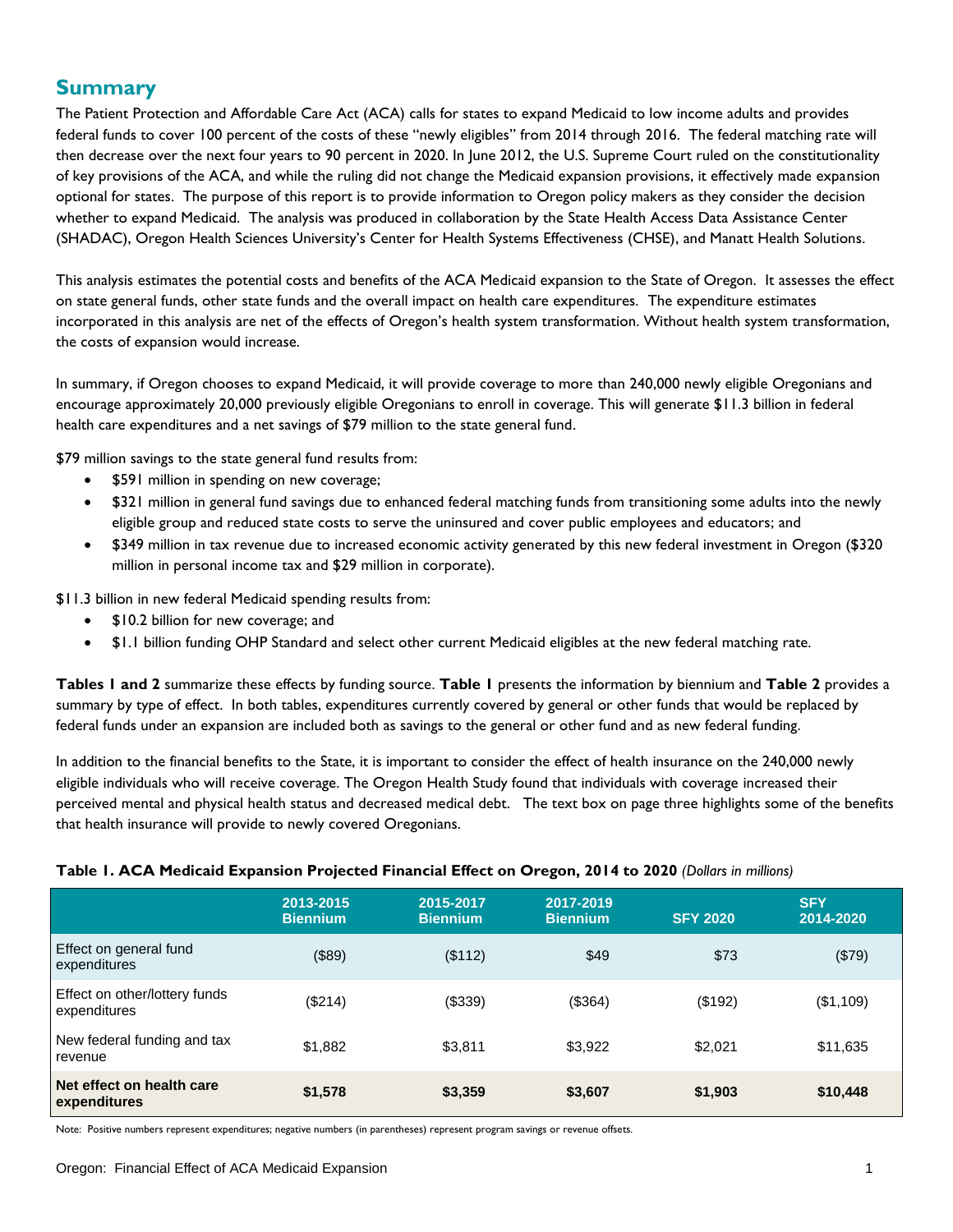## **Summary**

The Patient Protection and Affordable Care Act (ACA) calls for states to expand Medicaid to low income adults and provides federal funds to cover 100 percent of the costs of these "newly eligibles" from 2014 through 2016. The federal matching rate will then decrease over the next four years to 90 percent in 2020. In June 2012, the U.S. Supreme Court ruled on the constitutionality of key provisions of the ACA, and while the ruling did not change the Medicaid expansion provisions, it effectively made expansion optional for states. The purpose of this report is to provide information to Oregon policy makers as they consider the decision whether to expand Medicaid. The analysis was produced in collaboration by the State Health Access Data Assistance Center (SHADAC), Oregon Health Sciences University's Center for Health Systems Effectiveness (CHSE), and Manatt Health Solutions.

This analysis estimates the potential costs and benefits of the ACA Medicaid expansion to the State of Oregon. It assesses the effect on state general funds, other state funds and the overall impact on health care expenditures. The expenditure estimates incorporated in this analysis are net of the effects of Oregon's health system transformation. Without health system transformation, the costs of expansion would increase.

In summary, if Oregon chooses to expand Medicaid, it will provide coverage to more than 240,000 newly eligible Oregonians and encourage approximately 20,000 previously eligible Oregonians to enroll in coverage. This will generate \$11.3 billion in federal health care expenditures and a net savings of \$79 million to the state general fund.

\$79 million savings to the state general fund results from:

- \$591 million in spending on new coverage;
- \$321 million in general fund savings due to enhanced federal matching funds from transitioning some adults into the newly eligible group and reduced state costs to serve the uninsured and cover public employees and educators; and
- \$349 million in tax revenue due to increased economic activity generated by this new federal investment in Oregon (\$320 million in personal income tax and \$29 million in corporate).

\$11.3 billion in new federal Medicaid spending results from:

- \$10.2 billion for new coverage; and
- \$1.1 billion funding OHP Standard and select other current Medicaid eligibles at the new federal matching rate.

**Tables 1 and 2** summarize these effects by funding source. **Table 1** presents the information by biennium and **Table 2** provides a summary by type of effect. In both tables, expenditures currently covered by general or other funds that would be replaced by federal funds under an expansion are included both as savings to the general or other fund and as new federal funding.

In addition to the financial benefits to the State, it is important to consider the effect of health insurance on the 240,000 newly eligible individuals who will receive coverage. The Oregon Health Study found that individuals with coverage increased their perceived mental and physical health status and decreased medical debt. The text box on page three highlights some of the benefits that health insurance will provide to newly covered Oregonians.

|                                               | 2013-2015<br><b>Biennium</b> | 2015-2017<br><b>Biennium</b> | 2017-2019<br><b>Biennium</b> | <b>SFY 2020</b> | <b>SFY</b><br>2014-2020 |
|-----------------------------------------------|------------------------------|------------------------------|------------------------------|-----------------|-------------------------|
| Effect on general fund<br>expenditures        | (\$89)                       | (\$112)                      | \$49                         | \$73            | (\$79)                  |
| Effect on other/lottery funds<br>expenditures | $(\$214)$                    | (\$339)                      | (\$364)                      | (\$192)         | (\$1,109)               |
| New federal funding and tax<br>revenue        | \$1,882                      | \$3,811                      | \$3,922                      | \$2,021         | \$11,635                |
| Net effect on health care<br>expenditures     | \$1,578                      | \$3,359                      | \$3,607                      | \$1,903         | \$10,448                |

#### **Table 1. ACA Medicaid Expansion Projected Financial Effect on Oregon, 2014 to 2020** *(Dollars in millions)*

Note: Positive numbers represent expenditures; negative numbers (in parentheses) represent program savings or revenue offsets.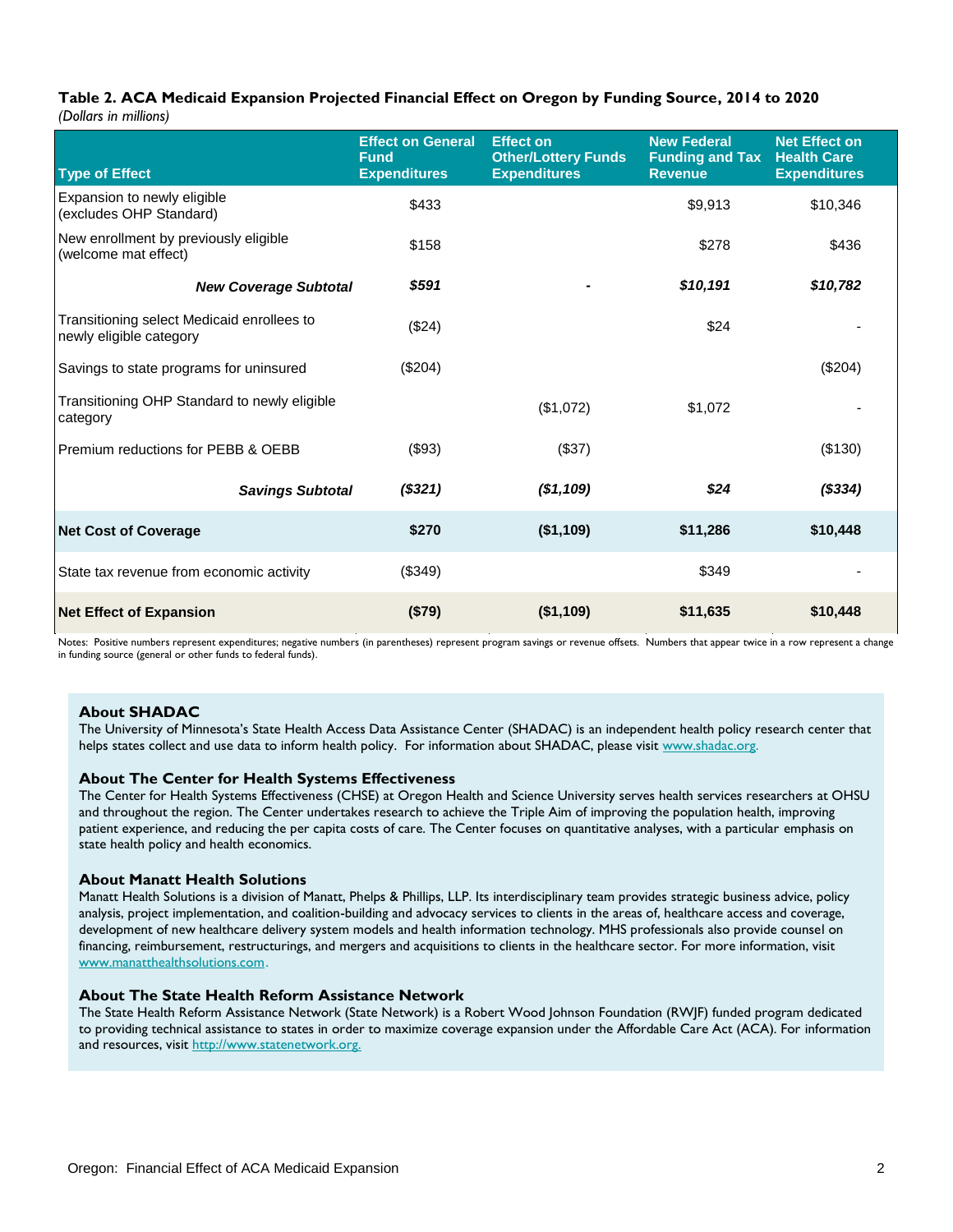## **Table 2. ACA Medicaid Expansion Projected Financial Effect on Oregon by Funding Source, 2014 to 2020**

*(Dollars in millions)*

| <b>Type of Effect</b>                                                 | <b>Effect on General</b><br><b>Fund</b><br><b>Expenditures</b> | <b>Effect on</b><br><b>Other/Lottery Funds</b><br><b>Expenditures</b> | <b>New Federal</b><br><b>Funding and Tax</b><br><b>Revenue</b> | <b>Net Effect on</b><br><b>Health Care</b><br><b>Expenditures</b> |
|-----------------------------------------------------------------------|----------------------------------------------------------------|-----------------------------------------------------------------------|----------------------------------------------------------------|-------------------------------------------------------------------|
| Expansion to newly eligible<br>(excludes OHP Standard)                | \$433                                                          |                                                                       | \$9,913                                                        | \$10,346                                                          |
| New enrollment by previously eligible<br>(welcome mat effect)         | \$158                                                          |                                                                       | \$278                                                          | \$436                                                             |
| <b>New Coverage Subtotal</b>                                          | \$591                                                          |                                                                       | \$10,191                                                       | \$10,782                                                          |
| Transitioning select Medicaid enrollees to<br>newly eligible category | (\$24)                                                         |                                                                       | \$24                                                           |                                                                   |
| Savings to state programs for uninsured                               | (\$204)                                                        |                                                                       |                                                                | (\$204)                                                           |
| Transitioning OHP Standard to newly eligible<br>category              |                                                                | (\$1,072)                                                             | \$1,072                                                        |                                                                   |
| Premium reductions for PEBB & OEBB                                    | (\$93)                                                         | (\$37)                                                                |                                                                | (\$130)                                                           |
| <b>Savings Subtotal</b>                                               | (\$321)                                                        | (\$1,109)                                                             | \$24                                                           | (\$334)                                                           |
| <b>Net Cost of Coverage</b>                                           | \$270                                                          | (\$1,109)                                                             | \$11,286                                                       | \$10,448                                                          |
| State tax revenue from economic activity                              | (\$349)                                                        |                                                                       | \$349                                                          |                                                                   |
| <b>Net Effect of Expansion</b>                                        | (\$79)                                                         | (\$1,109)                                                             | \$11,635                                                       | \$10,448                                                          |

Notes: Positive numbers represent expenditures; negative numbers (in parentheses) represent program savings or revenue offsets. Numbers that appear twice in a row represent a change in funding source (general or other funds to federal funds).

#### **About SHADAC**

The University of Minnesota's State Health Access Data Assistance Center (SHADAC) is an independent health policy research center that helps states collect and use data to inform health policy. For information about SHADAC, please visit [www.shadac.org.](http://www.shadac.org/)

#### **About The Center for Health Systems Effectiveness**

The Center for Health Systems Effectiveness (CHSE) at Oregon Health and Science University serves health services researchers at OHSU and throughout the region. The Center undertakes research to achieve the Triple Aim of improving the population health, improving patient experience, and reducing the per capita costs of care. The Center focuses on quantitative analyses, with a particular emphasis on state health policy and health economics.

#### **About Manatt Health Solutions**

Manatt Health Solutions is a division of Manatt, Phelps & Phillips, LLP. Its interdisciplinary team provides strategic business advice, policy analysis, project implementation, and coalition-building and advocacy services to clients in the areas of, healthcare access and coverage, development of new healthcare delivery system models and health information technology. MHS professionals also provide counsel on financing, reimbursement, restructurings, and mergers and acquisitions to clients in the healthcare sector. For more information, visit [www.manatthealthsolutions.com.](http://www.manatthealthsolutions.com/)

## **About The State Health Reform Assistance Network**

The State Health Reform Assistance Network (State Network) is a Robert Wood Johnson Foundation (RWJF) funded program dedicated to providing technical assistance to states in order to maximize coverage expansion under the Affordable Care Act (ACA). For information and resources, visit [http://www.statenetwork.org.](http://www.statenetwork.org./)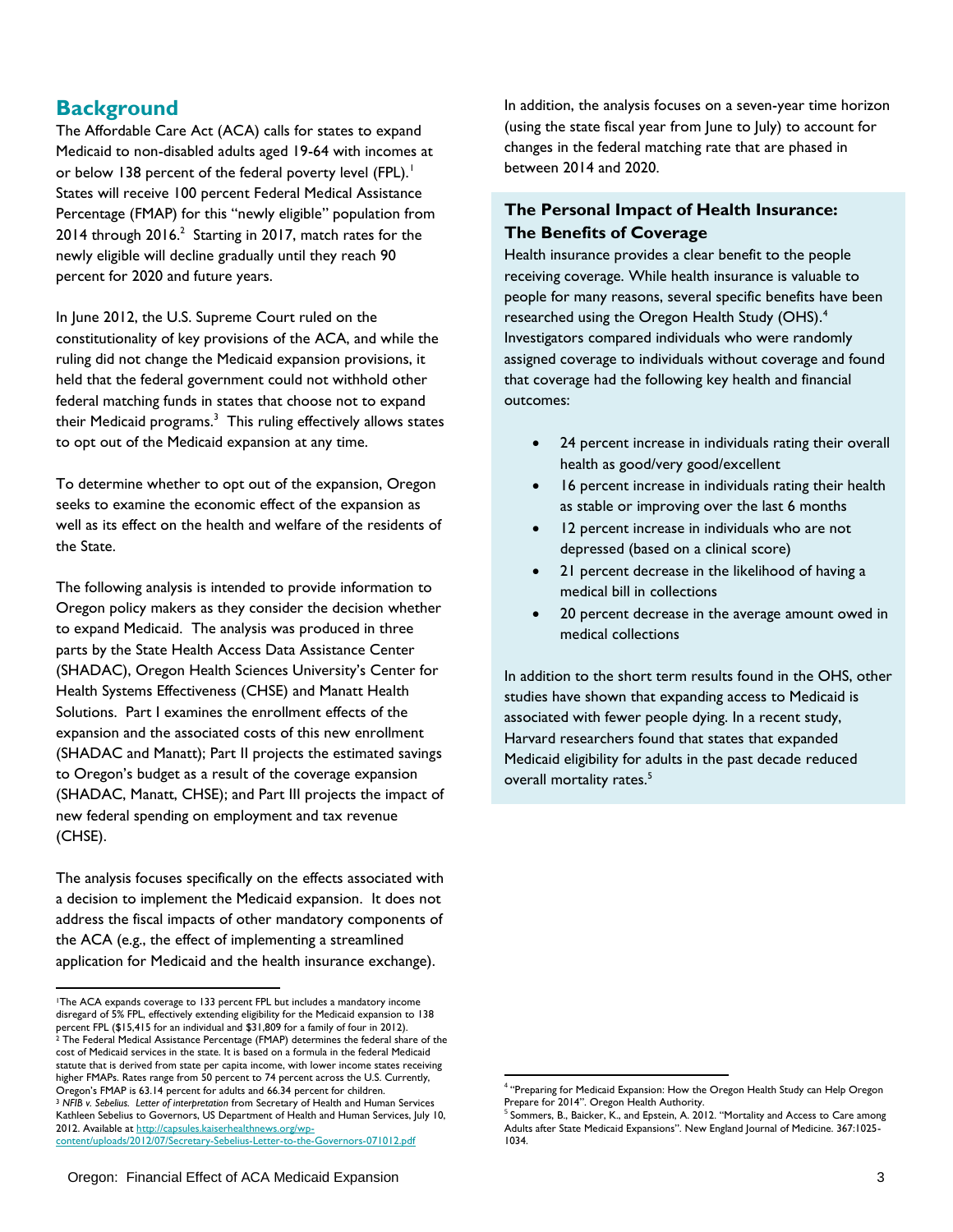## **Background**

The Affordable Care Act (ACA) calls for states to expand Medicaid to non-disabled adults aged 19-64 with incomes at or below 138 percent of the federal poverty level (FPL).<sup>1</sup> States will receive 100 percent Federal Medical Assistance Percentage (FMAP) for this "newly eligible" population from  $2014$  through  $2016<sup>2</sup>$  Starting in  $2017$ , match rates for the newly eligible will decline gradually until they reach 90 percent for 2020 and future years.

In June 2012, the U.S. Supreme Court ruled on the constitutionality of key provisions of the ACA, and while the ruling did not change the Medicaid expansion provisions, it held that the federal government could not withhold other federal matching funds in states that choose not to expand their Medicaid programs.<sup>3</sup> This ruling effectively allows states to opt out of the Medicaid expansion at any time.

To determine whether to opt out of the expansion, Oregon seeks to examine the economic effect of the expansion as well as its effect on the health and welfare of the residents of the State.

The following analysis is intended to provide information to Oregon policy makers as they consider the decision whether to expand Medicaid. The analysis was produced in three parts by the State Health Access Data Assistance Center (SHADAC), Oregon Health Sciences University's Center for Health Systems Effectiveness (CHSE) and Manatt Health Solutions. Part I examines the enrollment effects of the expansion and the associated costs of this new enrollment (SHADAC and Manatt); Part II projects the estimated savings to Oregon's budget as a result of the coverage expansion (SHADAC, Manatt, CHSE); and Part III projects the impact of new federal spending on employment and tax revenue (CHSE).

The analysis focuses specifically on the effects associated with a decision to implement the Medicaid expansion. It does not address the fiscal impacts of other mandatory components of the ACA (e.g., the effect of implementing a streamlined application for Medicaid and the health insurance exchange).

In addition, the analysis focuses on a seven-year time horizon (using the state fiscal year from June to July) to account for changes in the federal matching rate that are phased in between 2014 and 2020.

## **The Personal Impact of Health Insurance: The Benefits of Coverage**

Health insurance provides a clear benefit to the people receiving coverage. While health insurance is valuable to people for many reasons, several specific benefits have been researched using the Oregon Health Study (OHS).<sup>4</sup> Investigators compared individuals who were randomly assigned coverage to individuals without coverage and found that coverage had the following key health and financial outcomes:

- 24 percent increase in individuals rating their overall health as good/very good/excellent
- 16 percent increase in individuals rating their health as stable or improving over the last 6 months
- 12 percent increase in individuals who are not depressed (based on a clinical score)
- 21 percent decrease in the likelihood of having a medical bill in collections
- 20 percent decrease in the average amount owed in medical collections

In addition to the short term results found in the OHS, other studies have shown that expanding access to Medicaid is associated with fewer people dying. In a recent study, Harvard researchers found that states that expanded Medicaid eligibility for adults in the past decade reduced overall mortality rates.<sup>5</sup>

 <sup>1</sup>The ACA expands coverage to 133 percent FPL but includes a mandatory income disregard of 5% FPL, effectively extending eligibility for the Medicaid expansion to 138 percent FPL (\$15,415 for an individual and \$31,809 for a family of four in 2012). <sup>2</sup> The Federal Medical Assistance Percentage (FMAP) determines the federal share of the cost of Medicaid services in the state. It is based on a formula in the federal Medicaid statute that is derived from state per capita income, with lower income states receiving higher FMAPs. Rates range from 50 percent to 74 percent across the U.S. Currently, Oregon's FMAP is 63.14 percent for adults and 66.34 percent for children. <sup>3</sup> *NFIB v. Sebelius. Letter of interpretation* from Secretary of Health and Human Services Kathleen Sebelius to Governors, US Department of Health and Human Services, July 10, 2012. Available at [http://capsules.kaiserhealthnews.org/wp](http://capsules.kaiserhealthnews.org/wp-content/uploads/2012/07/Secretary-Sebelius-Letter-to-the-Governors-071012.pdf)[content/uploads/2012/07/Secretary-Sebelius-Letter-to-the-Governors-071012.pdf](http://capsules.kaiserhealthnews.org/wp-content/uploads/2012/07/Secretary-Sebelius-Letter-to-the-Governors-071012.pdf)

 $\overline{\phantom{a}}$ <sup>4</sup> "Preparing for Medicaid Expansion: How the Oregon Health Study can Help Oregon Prepare for 2014". Oregon Health Authority.

 $<sup>5</sup>$  Sommers, B., Baicker, K., and Epstein, A. 2012. "Mortality and Access to Care among</sup> Adults after State Medicaid Expansions". New England Journal of Medicine. 367:1025-1034.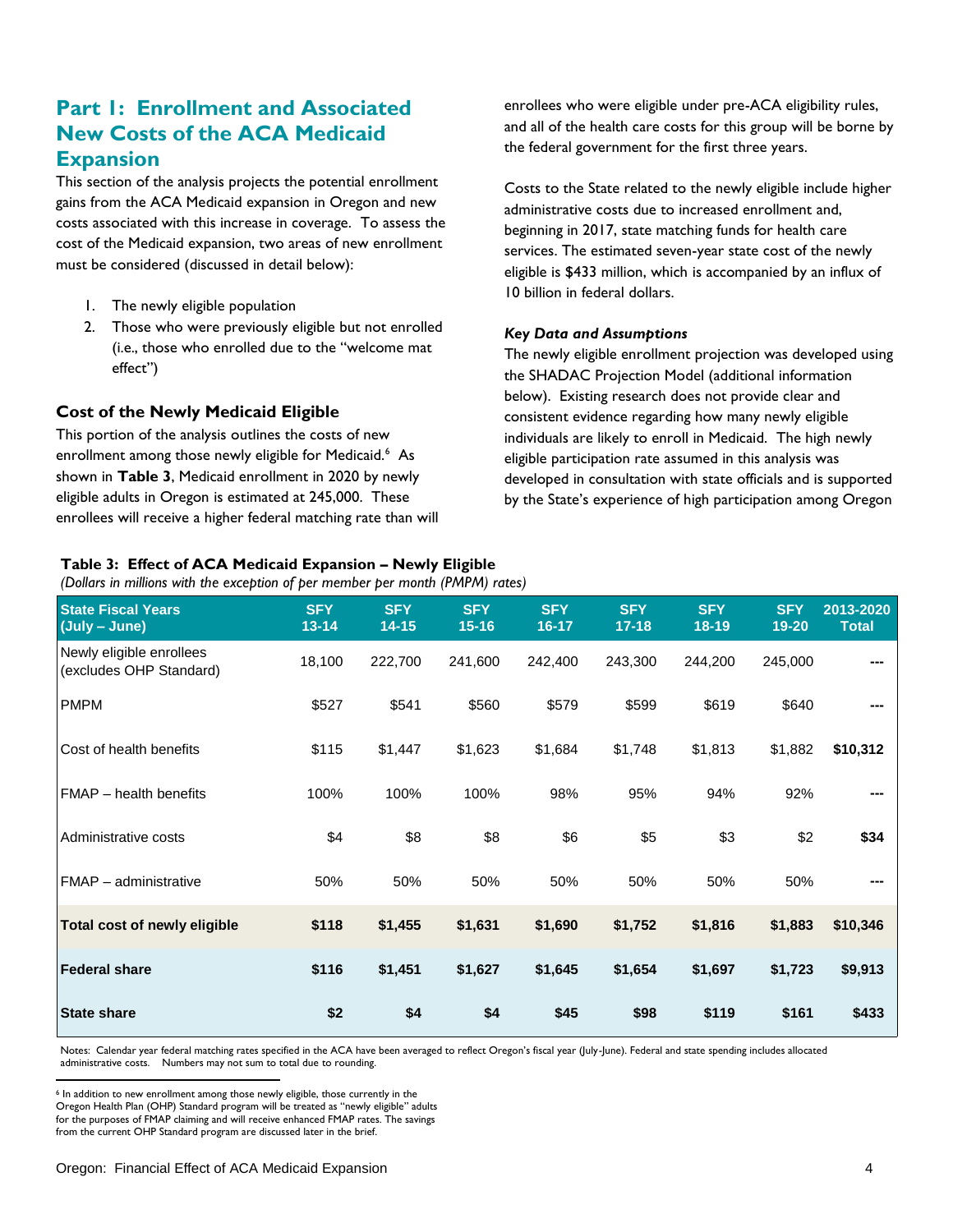## **Part 1: Enrollment and Associated New Costs of the ACA Medicaid Expansion**

This section of the analysis projects the potential enrollment gains from the ACA Medicaid expansion in Oregon and new costs associated with this increase in coverage. To assess the cost of the Medicaid expansion, two areas of new enrollment must be considered (discussed in detail below):

- 1. The newly eligible population
- 2. Those who were previously eligible but not enrolled (i.e., those who enrolled due to the "welcome mat effect")

## **Cost of the Newly Medicaid Eligible**

This portion of the analysis outlines the costs of new enrollment among those newly eligible for Medicaid.<sup>6</sup> As shown in **Table 3**, Medicaid enrollment in 2020 by newly eligible adults in Oregon is estimated at 245,000. These enrollees will receive a higher federal matching rate than will enrollees who were eligible under pre-ACA eligibility rules, and all of the health care costs for this group will be borne by the federal government for the first three years.

Costs to the State related to the newly eligible include higher administrative costs due to increased enrollment and, beginning in 2017, state matching funds for health care services. The estimated seven-year state cost of the newly eligible is \$433 million, which is accompanied by an influx of 10 billion in federal dollars.

#### *Key Data and Assumptions*

The newly eligible enrollment projection was developed using the SHADAC Projection Model (additional information below). Existing research does not provide clear and consistent evidence regarding how many newly eligible individuals are likely to enroll in Medicaid. The high newly eligible participation rate assumed in this analysis was developed in consultation with state officials and is supported by the State's experience of high participation among Oregon

## **Table 3: Effect of ACA Medicaid Expansion – Newly Eligible**

*(Dollars in millions with the exception of per member per month (PMPM) rates)*

| <b>State Fiscal Years</b><br>(July - June)          | <b>SFY</b><br>$13 - 14$ | <b>SFY</b><br>$14 - 15$ | <b>SFY</b><br>$15 - 16$ | <b>SFY</b><br>$16 - 17$ | <b>SFY</b><br>$17 - 18$ | <b>SFY</b><br>18-19 | <b>SFY</b><br>19-20 | 2013-2020<br><b>Total</b> |
|-----------------------------------------------------|-------------------------|-------------------------|-------------------------|-------------------------|-------------------------|---------------------|---------------------|---------------------------|
| Newly eligible enrollees<br>(excludes OHP Standard) | 18,100                  | 222,700                 | 241,600                 | 242,400                 | 243,300                 | 244,200             | 245,000             |                           |
| <b>PMPM</b>                                         | \$527                   | \$541                   | \$560                   | \$579                   | \$599                   | \$619               | \$640               |                           |
| Cost of health benefits                             | \$115                   | \$1,447                 | \$1,623                 | \$1,684                 | \$1,748                 | \$1,813             | \$1,882             | \$10,312                  |
| FMAP - health benefits                              | 100%                    | 100%                    | 100%                    | 98%                     | 95%                     | 94%                 | 92%                 |                           |
| Administrative costs                                | \$4                     | \$8                     | \$8                     | \$6                     | \$5                     | \$3                 | \$2                 | \$34                      |
| FMAP - administrative                               | 50%                     | 50%                     | 50%                     | 50%                     | 50%                     | 50%                 | 50%                 |                           |
| Total cost of newly eligible                        | \$118                   | \$1,455                 | \$1,631                 | \$1,690                 | \$1,752                 | \$1,816             | \$1,883             | \$10,346                  |
| <b>Federal share</b>                                | \$116                   | \$1,451                 | \$1,627                 | \$1,645                 | \$1,654                 | \$1,697             | \$1,723             | \$9,913                   |
| <b>State share</b>                                  | \$2                     | \$4                     | \$4                     | \$45                    | \$98                    | \$119               | \$161               | \$433                     |

Notes: Calendar year federal matching rates specified in the ACA have been averaged to reflect Oregon's fiscal year (July-June). Federal and state spending includes allocated administrative costs. Numbers may not sum to total due to rounding.

 $\overline{a}$ <sup>6</sup> In addition to new enrollment among those newly eligible, those currently in the Oregon Health Plan (OHP) Standard program will be treated as "newly eligible" adults for the purposes of FMAP claiming and will receive enhanced FMAP rates. The savings from the current OHP Standard program are discussed later in the brief.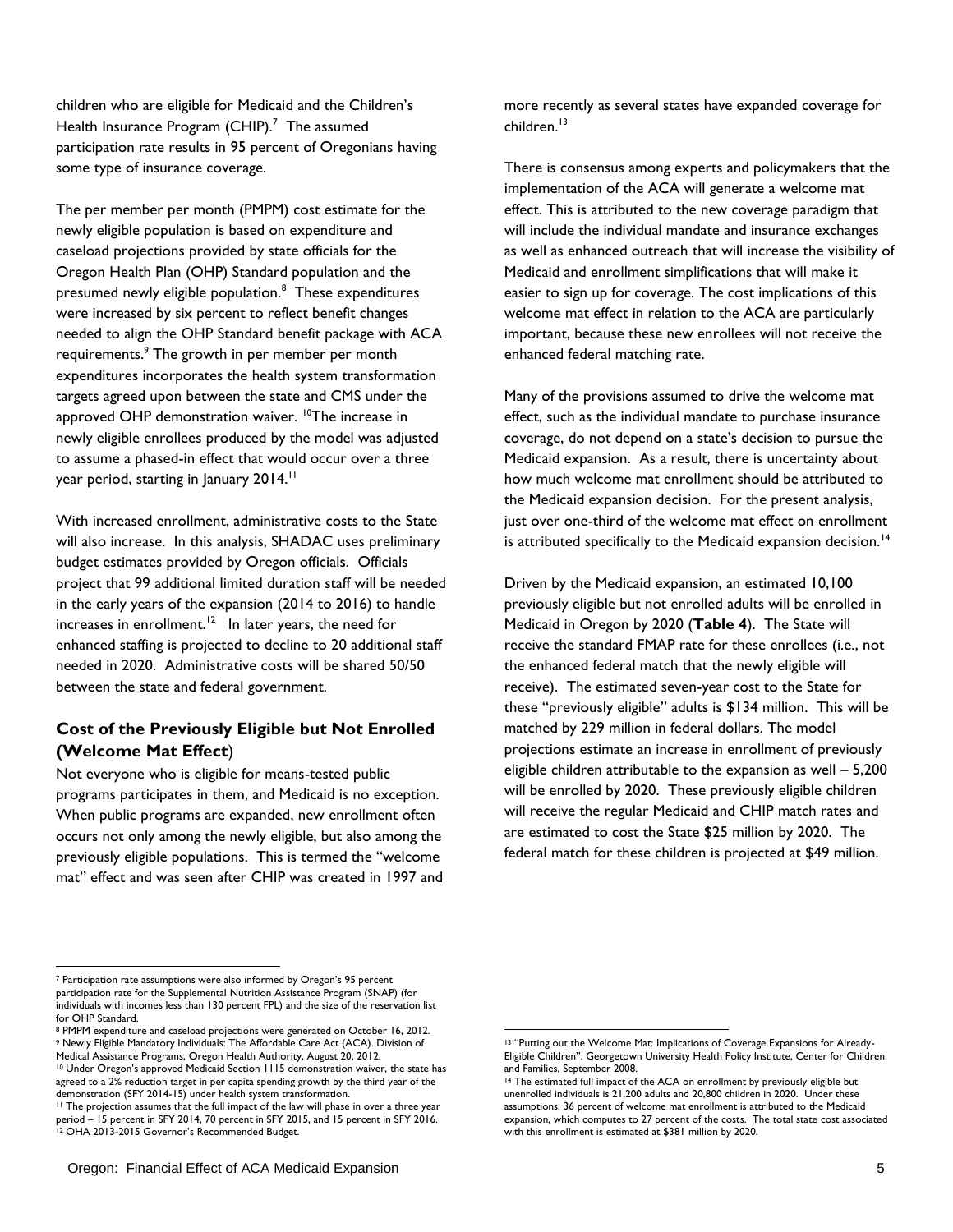children who are eligible for Medicaid and the Children's Health Insurance Program  $(CHIP).<sup>7</sup>$  The assumed participation rate results in 95 percent of Oregonians having some type of insurance coverage.

The per member per month (PMPM) cost estimate for the newly eligible population is based on expenditure and caseload projections provided by state officials for the Oregon Health Plan (OHP) Standard population and the presumed newly eligible population.<sup>8</sup> These expenditures were increased by six percent to reflect benefit changes needed to align the OHP Standard benefit package with ACA requirements.<sup>9</sup> The growth in per member per month expenditures incorporates the health system transformation targets agreed upon between the state and CMS under the approved OHP demonstration waiver. <sup>10</sup>The increase in newly eligible enrollees produced by the model was adjusted to assume a phased-in effect that would occur over a three year period, starting in January 2014.<sup>11</sup>

With increased enrollment, administrative costs to the State will also increase. In this analysis, SHADAC uses preliminary budget estimates provided by Oregon officials. Officials project that 99 additional limited duration staff will be needed in the early years of the expansion (2014 to 2016) to handle increases in enrollment.<sup>12</sup> In later years, the need for enhanced staffing is projected to decline to 20 additional staff needed in 2020. Administrative costs will be shared 50/50 between the state and federal government.

## **Cost of the Previously Eligible but Not Enrolled (Welcome Mat Effect**)

Not everyone who is eligible for means-tested public programs participates in them, and Medicaid is no exception. When public programs are expanded, new enrollment often occurs not only among the newly eligible, but also among the previously eligible populations. This is termed the "welcome" mat" effect and was seen after CHIP was created in 1997 and more recently as several states have expanded coverage for children.<sup>13</sup>

There is consensus among experts and policymakers that the implementation of the ACA will generate a welcome mat effect. This is attributed to the new coverage paradigm that will include the individual mandate and insurance exchanges as well as enhanced outreach that will increase the visibility of Medicaid and enrollment simplifications that will make it easier to sign up for coverage. The cost implications of this welcome mat effect in relation to the ACA are particularly important, because these new enrollees will not receive the enhanced federal matching rate.

Many of the provisions assumed to drive the welcome mat effect, such as the individual mandate to purchase insurance coverage, do not depend on a state's decision to pursue the Medicaid expansion. As a result, there is uncertainty about how much welcome mat enrollment should be attributed to the Medicaid expansion decision. For the present analysis, just over one-third of the welcome mat effect on enrollment is attributed specifically to the Medicaid expansion decision.<sup>14</sup>

Driven by the Medicaid expansion, an estimated 10,100 previously eligible but not enrolled adults will be enrolled in Medicaid in Oregon by 2020 (**Table 4**). The State will receive the standard FMAP rate for these enrollees (i.e., not the enhanced federal match that the newly eligible will receive). The estimated seven-year cost to the State for these "previously eligible" adults is \$134 million. This will be matched by 229 million in federal dollars. The model projections estimate an increase in enrollment of previously eligible children attributable to the expansion as well – 5,200 will be enrolled by 2020. These previously eligible children will receive the regular Medicaid and CHIP match rates and are estimated to cost the State \$25 million by 2020. The federal match for these children is projected at \$49 million.

 $\overline{\phantom{a}}$ 

<sup>7</sup> Participation rate assumptions were also informed by Oregon's 95 percent participation rate for the Supplemental Nutrition Assistance Program (SNAP) (for individuals with incomes less than 130 percent FPL) and the size of the reservation list for OHP Standard.

<sup>8</sup> PMPM expenditure and caseload projections were generated on October 16, 2012. <sup>9</sup> Newly Eligible Mandatory Individuals: The Affordable Care Act (ACA). Division of Medical Assistance Programs, Oregon Health Authority, August 20, 2012.

<sup>10</sup> Under Oregon's approved Medicaid Section 1115 demonstration waiver, the state has agreed to a 2% reduction target in per capita spending growth by the third year of the demonstration (SFY 2014-15) under health system transformation.

<sup>&</sup>lt;sup>11</sup> The projection assumes that the full impact of the law will phase in over a three year eriod - 15 percent in SFY 2014, 70 percent in SFY 2015, and 15 percent in SFY 2016. period – 15 percent in Sr (2017, 70 persens in 2.<br><sup>12</sup> OHA 2013-2015 Governor's Recommended Budget.

 <sup>13</sup> ―Putting out the Welcome Mat: Implications of Coverage Expansions for Already-Eligible Children", Georgetown University Health Policy Institute, Center for Children and Families, September 2008.

<sup>14</sup> The estimated full impact of the ACA on enrollment by previously eligible but unenrolled individuals is 21,200 adults and 20,800 children in 2020. Under these assumptions, 36 percent of welcome mat enrollment is attributed to the Medicaid expansion, which computes to 27 percent of the costs. The total state cost associated with this enrollment is estimated at \$381 million by 2020.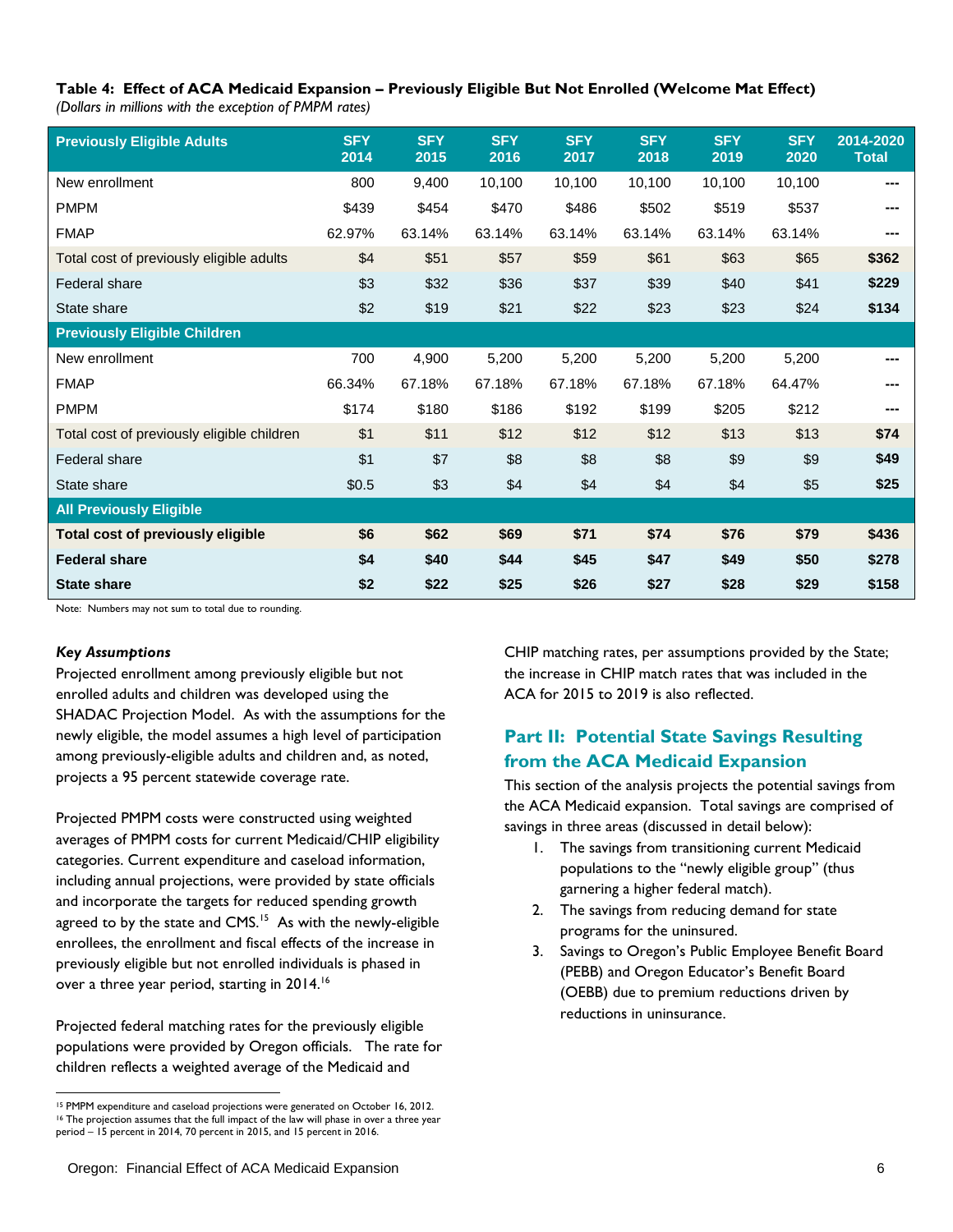#### **Table 4: Effect of ACA Medicaid Expansion – Previously Eligible But Not Enrolled (Welcome Mat Effect)**  *(Dollars in millions with the exception of PMPM rates)*

| <b>Previously Eligible Adults</b>          | <b>SFY</b><br>2014 | <b>SFY</b><br>2015 | <b>SFY</b><br>2016 | <b>SFY</b><br>2017 | <b>SFY</b><br>2018 | <b>SFY</b><br>2019 | <b>SFY</b><br>2020 | 2014-2020<br><b>Total</b> |
|--------------------------------------------|--------------------|--------------------|--------------------|--------------------|--------------------|--------------------|--------------------|---------------------------|
| New enrollment                             | 800                | 9,400              | 10,100             | 10,100             | 10,100             | 10,100             | 10,100             |                           |
| <b>PMPM</b>                                | \$439              | \$454              | \$470              | \$486              | \$502              | \$519              | \$537              |                           |
| <b>FMAP</b>                                | 62.97%             | 63.14%             | 63.14%             | 63.14%             | 63.14%             | 63.14%             | 63.14%             |                           |
| Total cost of previously eligible adults   | \$4                | \$51               | \$57               | \$59               | \$61               | \$63               | \$65               | \$362                     |
| <b>Federal share</b>                       | \$3                | \$32               | \$36               | \$37               | \$39               | \$40               | \$41               | \$229                     |
| State share                                | \$2                | \$19               | \$21               | \$22               | \$23               | \$23               | \$24               | \$134                     |
| <b>Previously Eligible Children</b>        |                    |                    |                    |                    |                    |                    |                    |                           |
| New enrollment                             | 700                | 4,900              | 5,200              | 5,200              | 5,200              | 5,200              | 5,200              |                           |
| <b>FMAP</b>                                | 66.34%             | 67.18%             | 67.18%             | 67.18%             | 67.18%             | 67.18%             | 64.47%             |                           |
| <b>PMPM</b>                                | \$174              | \$180              | \$186              | \$192              | \$199              | \$205              | \$212              |                           |
| Total cost of previously eligible children | \$1                | \$11               | \$12               | \$12               | \$12               | \$13               | \$13               | \$74                      |
| Federal share                              | \$1                | \$7                | \$8                | \$8                | \$8                | \$9                | \$9                | \$49                      |
| State share                                | \$0.5              | \$3                | \$4                | \$4                | \$4                | \$4                | \$5                | \$25                      |
| <b>All Previously Eligible</b>             |                    |                    |                    |                    |                    |                    |                    |                           |
| <b>Total cost of previously eligible</b>   | \$6                | \$62               | \$69               | \$71               | \$74               | \$76               | \$79               | \$436                     |
| <b>Federal share</b>                       | \$4                | \$40               | \$44               | \$45               | \$47               | \$49               | \$50               | \$278                     |
| <b>State share</b>                         | \$2                | \$22               | \$25               | \$26               | \$27               | \$28               | \$29               | \$158                     |

Note: Numbers may not sum to total due to rounding.

#### *Key Assumptions*

Projected enrollment among previously eligible but not enrolled adults and children was developed using the SHADAC Projection Model. As with the assumptions for the newly eligible, the model assumes a high level of participation among previously-eligible adults and children and, as noted, projects a 95 percent statewide coverage rate.

Projected PMPM costs were constructed using weighted averages of PMPM costs for current Medicaid/CHIP eligibility categories. Current expenditure and caseload information, including annual projections, were provided by state officials and incorporate the targets for reduced spending growth agreed to by the state and  $CMS$ <sup>15</sup> As with the newly-eligible enrollees, the enrollment and fiscal effects of the increase in previously eligible but not enrolled individuals is phased in over a three year period, starting in 2014. $^{16}$ 

Projected federal matching rates for the previously eligible populations were provided by Oregon officials. The rate for children reflects a weighted average of the Medicaid and

CHIP matching rates, per assumptions provided by the State; the increase in CHIP match rates that was included in the ACA for 2015 to 2019 is also reflected.

## **Part II: Potential State Savings Resulting from the ACA Medicaid Expansion**

This section of the analysis projects the potential savings from the ACA Medicaid expansion. Total savings are comprised of savings in three areas (discussed in detail below):

- 1. The savings from transitioning current Medicaid populations to the "newly eligible group" (thus garnering a higher federal match).
- 2. The savings from reducing demand for state programs for the uninsured.
- 3. Savings to Oregon's Public Employee Benefit Board (PEBB) and Oregon Educator's Benefit Board (OEBB) due to premium reductions driven by reductions in uninsurance.

 $\overline{\phantom{a}}$ <sup>15</sup> PMPM expenditure and caseload projections were generated on October 16, 2012. <sup>16</sup> The projection assumes that the full impact of the law will phase in over a three year period – 15 percent in 2014, 70 percent in 2015, and 15 percent in 2016.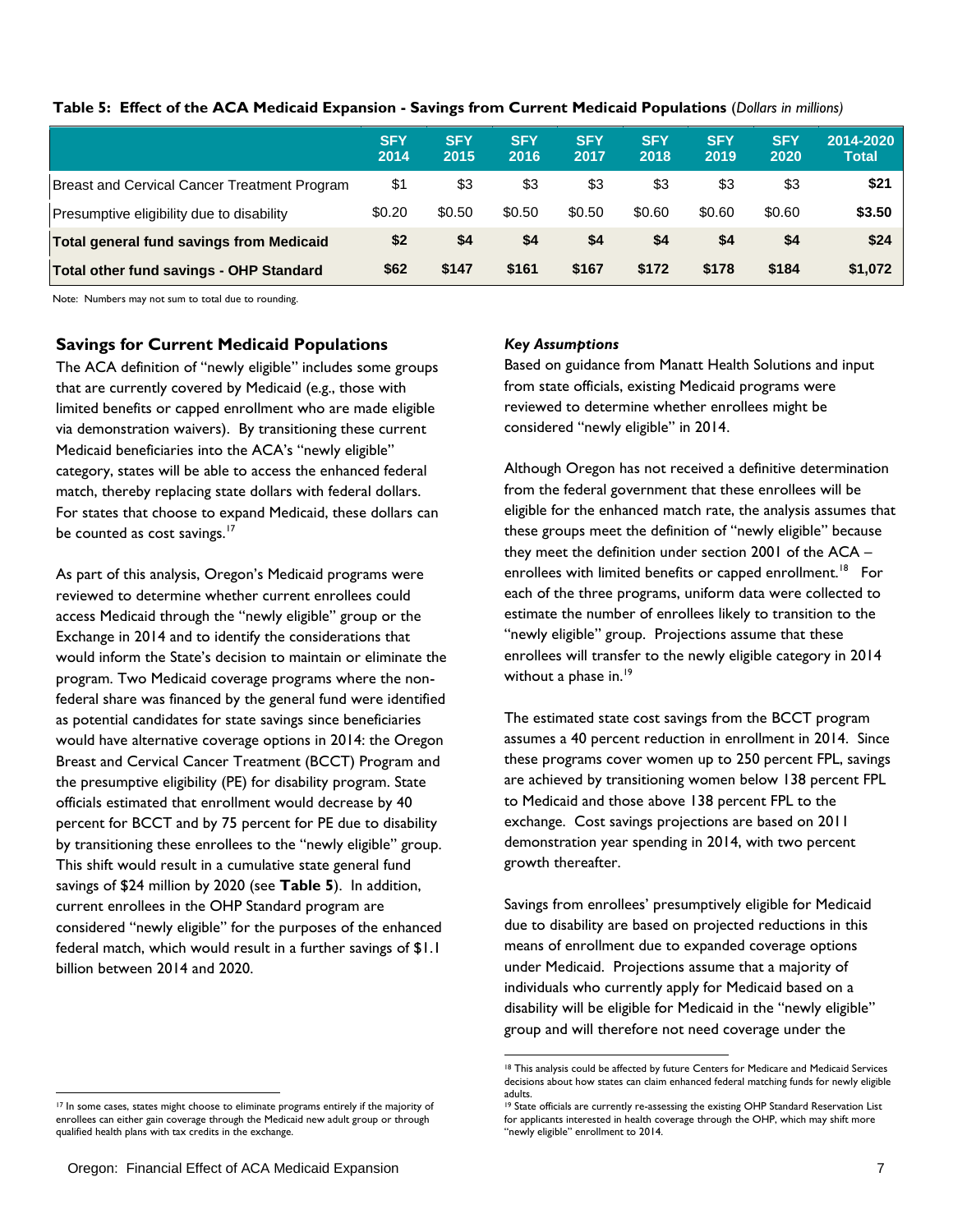|                                                 | <b>SFY</b><br>2014 | <b>SFY</b><br>2015 | <b>SFY</b><br>2016 | <b>SFY</b><br>2017 | <b>SFY</b><br>2018 | <b>SFY</b><br>2019 | <b>SFY</b><br>2020 | 2014-2020<br><b>Total</b> |
|-------------------------------------------------|--------------------|--------------------|--------------------|--------------------|--------------------|--------------------|--------------------|---------------------------|
| Breast and Cervical Cancer Treatment Program    | \$1                | \$3                | \$3                | \$3                | \$3                | \$3                | \$3                | \$21                      |
| Presumptive eligibility due to disability       | \$0.20             | \$0.50             | \$0.50             | \$0.50             | \$0.60             | \$0.60             | \$0.60             | \$3.50                    |
| <b>Total general fund savings from Medicaid</b> | \$2                | \$4                | \$4                | \$4                | \$4                | \$4                | \$4                | \$24                      |
| <b>Total other fund savings - OHP Standard</b>  | \$62               | \$147              | \$161              | \$167              | \$172              | \$178              | \$184              | \$1,072                   |

#### **Table 5: Effect of the ACA Medicaid Expansion - Savings from Current Medicaid Populations** (*Dollars in millions)*

Note: Numbers may not sum to total due to rounding.

## **Savings for Current Medicaid Populations**

The ACA definition of "newly eligible" includes some groups that are currently covered by Medicaid (e.g., those with limited benefits or capped enrollment who are made eligible via demonstration waivers). By transitioning these current Medicaid beneficiaries into the ACA's "newly eligible" category, states will be able to access the enhanced federal match, thereby replacing state dollars with federal dollars. For states that choose to expand Medicaid, these dollars can be counted as cost savings.<sup>17</sup>

As part of this analysis, Oregon's Medicaid programs were reviewed to determine whether current enrollees could access Medicaid through the "newly eligible" group or the Exchange in 2014 and to identify the considerations that would inform the State's decision to maintain or eliminate the program. Two Medicaid coverage programs where the nonfederal share was financed by the general fund were identified as potential candidates for state savings since beneficiaries would have alternative coverage options in 2014: the Oregon Breast and Cervical Cancer Treatment (BCCT) Program and the presumptive eligibility (PE) for disability program. State officials estimated that enrollment would decrease by 40 percent for BCCT and by 75 percent for PE due to disability by transitioning these enrollees to the "newly eligible" group. This shift would result in a cumulative state general fund savings of \$24 million by 2020 (see **Table 5**). In addition, current enrollees in the OHP Standard program are considered "newly eligible" for the purposes of the enhanced federal match, which would result in a further savings of \$1.1 billion between 2014 and 2020.

#### 17 In some cases, states might choose to eliminate programs entirely if the majority of enrollees can either gain coverage through the Medicaid new adult group or through qualified health plans with tax credits in the exchange.

#### *Key Assumptions*

Based on guidance from Manatt Health Solutions and input from state officials, existing Medicaid programs were reviewed to determine whether enrollees might be considered "newly eligible" in 2014.

Although Oregon has not received a definitive determination from the federal government that these enrollees will be eligible for the enhanced match rate, the analysis assumes that these groups meet the definition of "newly eligible" because they meet the definition under section 2001 of the ACA – enrollees with limited benefits or capped enrollment.<sup>18</sup> For each of the three programs, uniform data were collected to estimate the number of enrollees likely to transition to the "newly eligible" group. Projections assume that these enrollees will transfer to the newly eligible category in 2014 without a phase in.<sup>19</sup>

The estimated state cost savings from the BCCT program assumes a 40 percent reduction in enrollment in 2014. Since these programs cover women up to 250 percent FPL, savings are achieved by transitioning women below 138 percent FPL to Medicaid and those above 138 percent FPL to the exchange. Cost savings projections are based on 2011 demonstration year spending in 2014, with two percent growth thereafter.

Savings from enrollees' presumptively eligible for Medicaid due to disability are based on projected reductions in this means of enrollment due to expanded coverage options under Medicaid. Projections assume that a majority of individuals who currently apply for Medicaid based on a disability will be eligible for Medicaid in the "newly eligible" group and will therefore not need coverage under the

 $\overline{\phantom{a}}$ 

<sup>&</sup>lt;sub>18</sub><br>I<sup>8</sup> This analysis could be affected by future Centers for Medicare and Medicaid Services decisions about how states can claim enhanced federal matching funds for newly eligible adults.

<sup>19</sup> State officials are currently re-assessing the existing OHP Standard Reservation List for applicants interested in health coverage through the OHP, which may shift more "newly eligible" enrollment to 2014.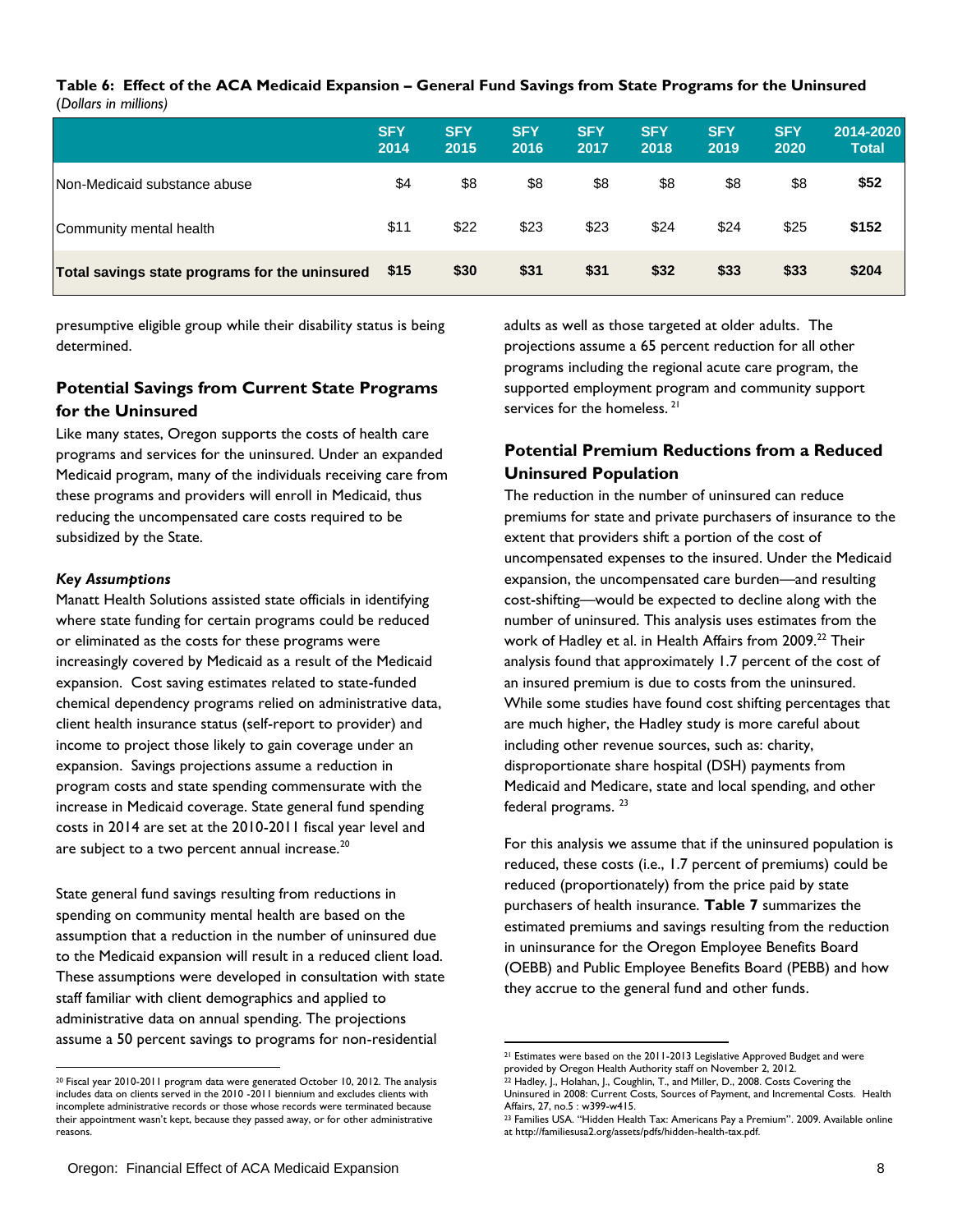#### **Table 6: Effect of the ACA Medicaid Expansion – General Fund Savings from State Programs for the Uninsured**  (*Dollars in millions)*

|                                                | <b>SFY</b><br>2014 | <b>SFY</b><br>2015 | <b>SFY</b><br>2016 | <b>SFY</b><br>2017 | <b>SFY</b><br>2018 | <b>SFY</b><br>2019 | <b>SFY</b><br>2020 | 2014-2020<br><b>Total</b> |
|------------------------------------------------|--------------------|--------------------|--------------------|--------------------|--------------------|--------------------|--------------------|---------------------------|
| Non-Medicaid substance abuse                   | \$4                | \$8                | \$8                | \$8                | \$8                | \$8                | \$8                | \$52                      |
| Community mental health                        | \$11               | \$22               | \$23               | \$23               | \$24               | \$24               | \$25               | \$152                     |
| Total savings state programs for the uninsured | \$15               | \$30               | \$31               | \$31               | \$32               | \$33               | \$33               | \$204                     |

presumptive eligible group while their disability status is being determined.

## **Potential Savings from Current State Programs for the Uninsured**

Like many states, Oregon supports the costs of health care programs and services for the uninsured. Under an expanded Medicaid program, many of the individuals receiving care from these programs and providers will enroll in Medicaid, thus reducing the uncompensated care costs required to be subsidized by the State.

## *Key Assumptions*

 $\overline{\phantom{a}}$ 

Manatt Health Solutions assisted state officials in identifying where state funding for certain programs could be reduced or eliminated as the costs for these programs were increasingly covered by Medicaid as a result of the Medicaid expansion. Cost saving estimates related to state-funded chemical dependency programs relied on administrative data, client health insurance status (self-report to provider) and income to project those likely to gain coverage under an expansion. Savings projections assume a reduction in program costs and state spending commensurate with the increase in Medicaid coverage. State general fund spending costs in 2014 are set at the 2010-2011 fiscal year level and are subject to a two percent annual increase. $^{\mathrm{20}}$ 

State general fund savings resulting from reductions in spending on community mental health are based on the assumption that a reduction in the number of uninsured due to the Medicaid expansion will result in a reduced client load. These assumptions were developed in consultation with state staff familiar with client demographics and applied to administrative data on annual spending. The projections assume a 50 percent savings to programs for non-residential

adults as well as those targeted at older adults. The projections assume a 65 percent reduction for all other programs including the regional acute care program, the supported employment program and community support services for the homeless.<sup>21</sup>

## **Potential Premium Reductions from a Reduced Uninsured Population**

The reduction in the number of uninsured can reduce premiums for state and private purchasers of insurance to the extent that providers shift a portion of the cost of uncompensated expenses to the insured. Under the Medicaid expansion, the uncompensated care burden—and resulting cost-shifting—would be expected to decline along with the number of uninsured. This analysis uses estimates from the work of Hadley et al. in Health Affairs from 2009.<sup>22</sup> Their analysis found that approximately 1.7 percent of the cost of an insured premium is due to costs from the uninsured. While some studies have found cost shifting percentages that are much higher, the Hadley study is more careful about including other revenue sources, such as: charity, disproportionate share hospital (DSH) payments from Medicaid and Medicare, state and local spending, and other federal programs.<sup>23</sup>

For this analysis we assume that if the uninsured population is reduced, these costs (i.e., 1.7 percent of premiums) could be reduced (proportionately) from the price paid by state purchasers of health insurance. **Table 7** summarizes the estimated premiums and savings resulting from the reduction in uninsurance for the Oregon Employee Benefits Board (OEBB) and Public Employee Benefits Board (PEBB) and how they accrue to the general fund and other funds.

<sup>20</sup> Fiscal year 2010-2011 program data were generated October 10, 2012. The analysis includes data on clients served in the 2010 -2011 biennium and excludes clients with incomplete administrative records or those whose records were terminated because their appointment wasn't kept, because they passed away, or for other administrative reasons.

 $21$  Estimates were based on the 2011-2013 Legislative Approved Budget and were provided by Oregon Health Authority staff on November 2, 2012.

 $22$  Hadley, J., Holahan, J., Coughlin, T., and Miller, D., 2008. Costs Covering the Uninsured in 2008: Current Costs, Sources of Payment, and Incremental Costs. Health Affairs, 27, no.5 : w399-w415.

<sup>&</sup>lt;sup>23</sup> Families USA. "Hidden Health Tax: Americans Pay a Premium". 2009. Available online at http://familiesusa2.org/assets/pdfs/hidden-health-tax.pdf.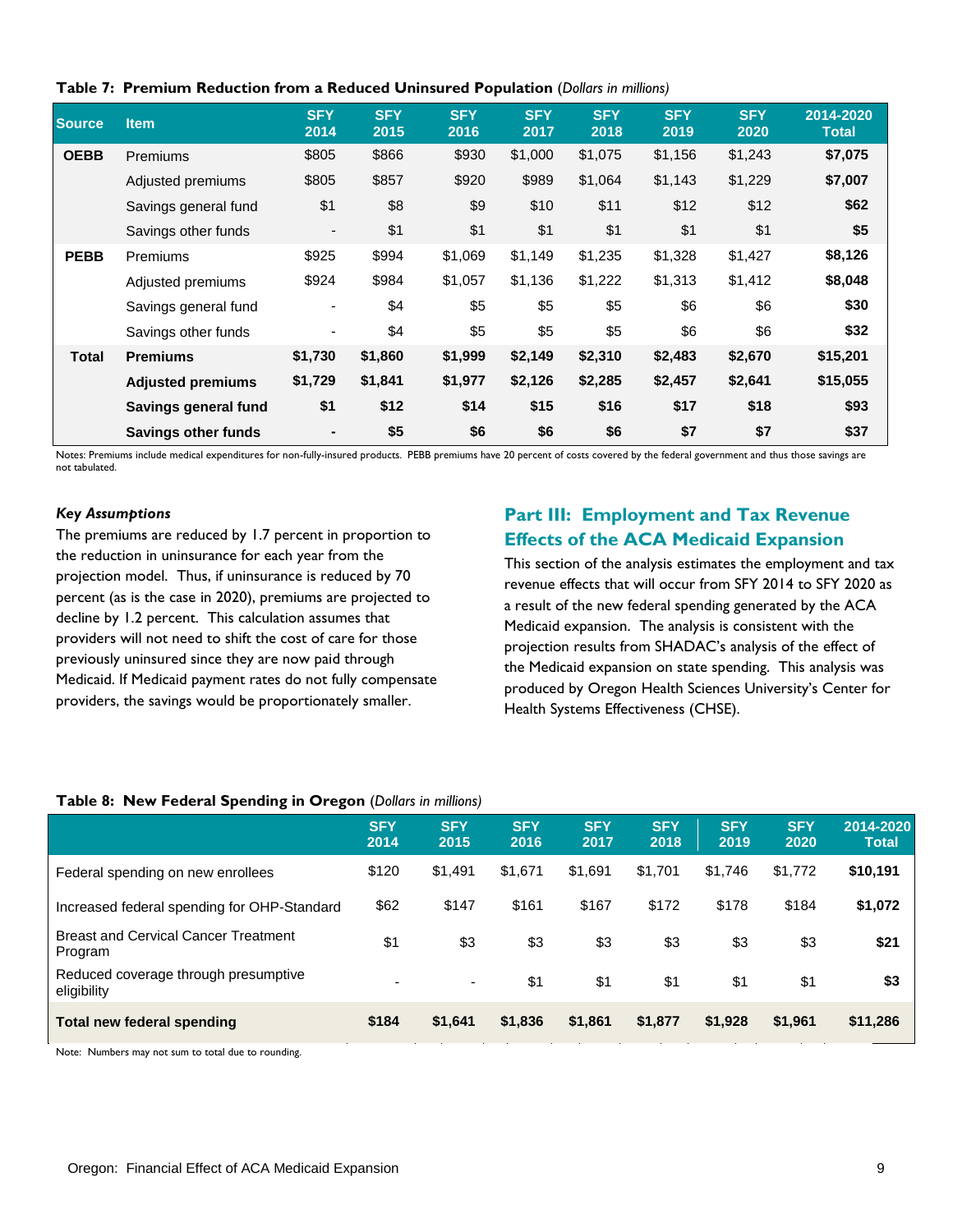|  |  | Table 7: Premium Reduction from a Reduced Uninsured Population (Dollars in millions) |  |  |
|--|--|--------------------------------------------------------------------------------------|--|--|
|--|--|--------------------------------------------------------------------------------------|--|--|

| <b>Source</b> | <b>Item</b>                | <b>SFY</b><br>2014       | <b>SFY</b><br>2015 | <b>SFY</b><br>2016 | <b>SFY</b><br>2017 | <b>SFY</b><br>2018 | <b>SFY</b><br>2019 | <b>SFY</b><br>2020 | 2014-2020<br><b>Total</b> |
|---------------|----------------------------|--------------------------|--------------------|--------------------|--------------------|--------------------|--------------------|--------------------|---------------------------|
| <b>OEBB</b>   | Premiums                   | \$805                    | \$866              | \$930              | \$1,000            | \$1,075            | \$1,156            | \$1,243            | \$7,075                   |
|               | Adjusted premiums          | \$805                    | \$857              | \$920              | \$989              | \$1,064            | \$1,143            | \$1,229            | \$7,007                   |
|               | Savings general fund       | \$1                      | \$8                | \$9                | \$10               | \$11               | \$12               | \$12               | \$62                      |
|               | Savings other funds        | $\overline{\phantom{a}}$ | \$1                | \$1                | \$1                | \$1                | \$1                | \$1                | \$5                       |
| <b>PEBB</b>   | Premiums                   | \$925                    | \$994              | \$1,069            | \$1,149            | \$1,235            | \$1,328            | \$1,427            | \$8,126                   |
|               | Adjusted premiums          | \$924                    | \$984              | \$1,057            | \$1,136            | \$1,222            | \$1,313            | \$1,412            | \$8,048                   |
|               | Savings general fund       |                          | \$4                | \$5                | \$5                | \$5                | \$6                | \$6                | \$30                      |
|               | Savings other funds        | ٠                        | \$4                | \$5                | \$5                | \$5                | \$6                | \$6                | \$32                      |
| Total         | <b>Premiums</b>            | \$1,730                  | \$1,860            | \$1,999            | \$2,149            | \$2,310            | \$2,483            | \$2,670            | \$15,201                  |
|               | <b>Adjusted premiums</b>   | \$1,729                  | \$1,841            | \$1,977            | \$2,126            | \$2,285            | \$2,457            | \$2,641            | \$15,055                  |
|               | Savings general fund       | \$1                      | \$12               | \$14               | \$15               | \$16               | \$17               | \$18               | \$93                      |
|               | <b>Savings other funds</b> |                          | \$5                | \$6                | \$6                | \$6                | \$7                | \$7                | \$37                      |

Notes: Premiums include medical expenditures for non-fully-insured products. PEBB premiums have 20 percent of costs covered by the federal government and thus those savings are not tabulated.

#### *Key Assumptions*

The premiums are reduced by 1.7 percent in proportion to the reduction in uninsurance for each year from the projection model. Thus, if uninsurance is reduced by 70 percent (as is the case in 2020), premiums are projected to decline by 1.2 percent. This calculation assumes that providers will not need to shift the cost of care for those previously uninsured since they are now paid through Medicaid. If Medicaid payment rates do not fully compensate providers, the savings would be proportionately smaller.

## **Part III: Employment and Tax Revenue Effects of the ACA Medicaid Expansion**

This section of the analysis estimates the employment and tax revenue effects that will occur from SFY 2014 to SFY 2020 as a result of the new federal spending generated by the ACA Medicaid expansion. The analysis is consistent with the projection results from SHADAC's analysis of the effect of the Medicaid expansion on state spending. This analysis was produced by Oregon Health Sciences University's Center for Health Systems Effectiveness (CHSE).

#### **Table 8: New Federal Spending in Oregon** (*Dollars in millions)*

|                                                        | <b>SFY</b><br>2014 | <b>SFY</b><br>2015 | <b>SFY</b><br>2016 | <b>SFY</b><br>2017 | <b>SFY</b><br>2018 | <b>SFY</b><br>2019 | <b>SFY</b><br>2020 | 2014-2020<br><b>Total</b> |
|--------------------------------------------------------|--------------------|--------------------|--------------------|--------------------|--------------------|--------------------|--------------------|---------------------------|
| Federal spending on new enrollees                      | \$120              | \$1,491            | \$1,671            | \$1,691            | \$1,701            | \$1,746            | \$1,772            | \$10,191                  |
| Increased federal spending for OHP-Standard            | \$62               | \$147              | \$161              | \$167              | \$172              | \$178              | \$184              | \$1,072                   |
| <b>Breast and Cervical Cancer Treatment</b><br>Program | \$1                | \$3                | \$3                | \$3                | \$3                | \$3                | \$3                | \$21                      |
| Reduced coverage through presumptive<br>eligibility    |                    | ٠                  | \$1                | \$1                | \$1                | \$1                | \$1                | \$3                       |
| Total new federal spending                             | \$184              | \$1,641            | \$1,836            | \$1,861            | \$1,877            | \$1,928            | \$1,961            | \$11,286                  |

Note: Numbers may not sum to total due to rounding.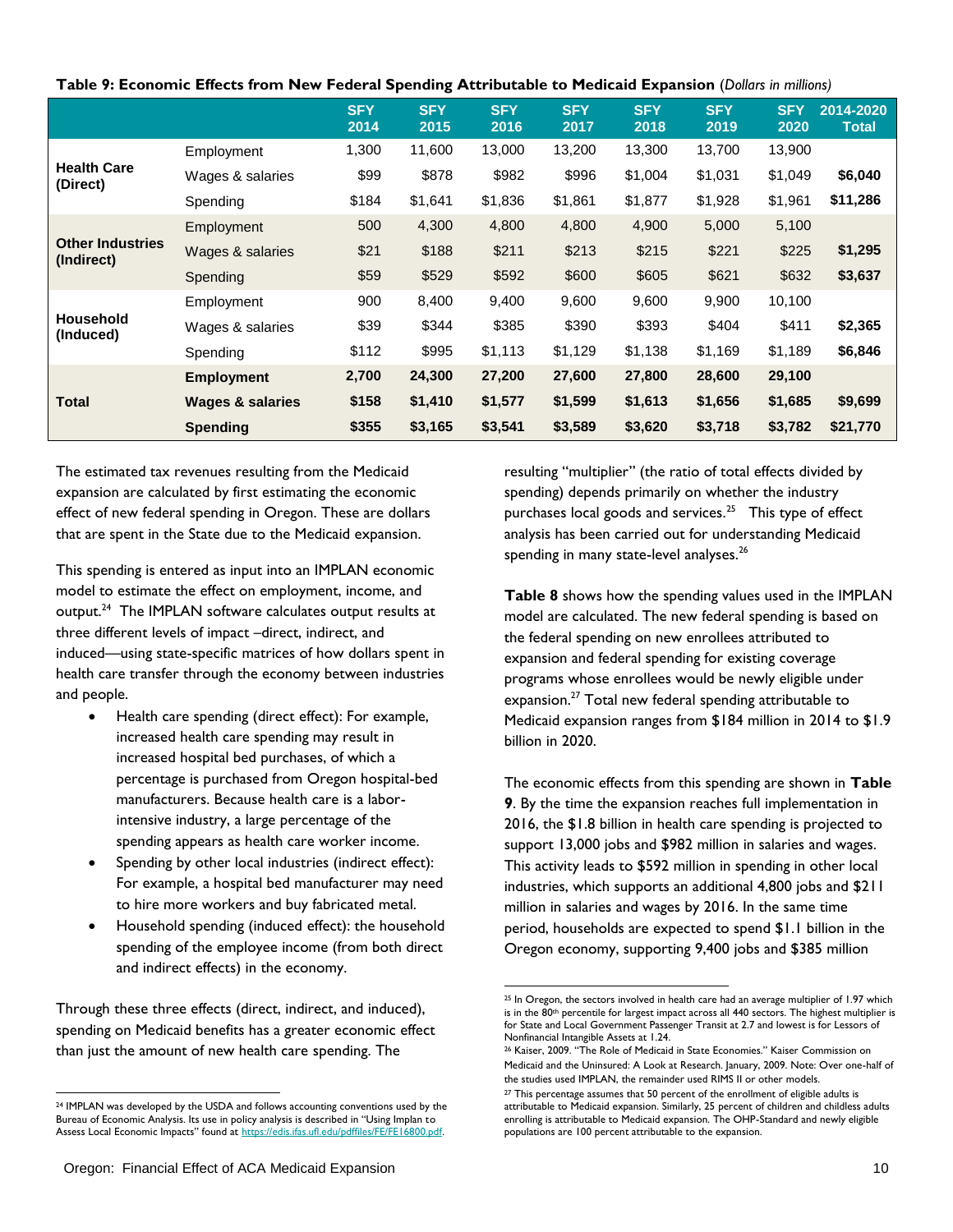| Table 9: Economic Effects from New Federal Spending Attributable to Medicaid Expansion (Dollars in millions) |  |  |  |
|--------------------------------------------------------------------------------------------------------------|--|--|--|
|--------------------------------------------------------------------------------------------------------------|--|--|--|

|                                       |                             | <b>SFY</b><br>2014 | <b>SFY</b><br>2015 | <b>SFY</b><br>2016 | <b>SFY</b><br>2017 | <b>SFY</b><br>2018 | <b>SFY</b><br>2019 | <b>SFY</b><br>2020 | 2014-2020<br><b>Total</b> |
|---------------------------------------|-----------------------------|--------------------|--------------------|--------------------|--------------------|--------------------|--------------------|--------------------|---------------------------|
|                                       | Employment                  | 1,300              | 11,600             | 13,000             | 13,200             | 13,300             | 13,700             | 13,900             |                           |
| <b>Health Care</b><br>(Direct)        | Wages & salaries            | \$99               | \$878              | \$982              | \$996              | \$1,004            | \$1,031            | \$1,049            | \$6,040                   |
|                                       | Spending                    | \$184              | \$1,641            | \$1,836            | \$1,861            | \$1,877            | \$1,928            | \$1,961            | \$11,286                  |
|                                       | Employment                  | 500                | 4,300              | 4,800              | 4,800              | 4,900              | 5,000              | 5,100              |                           |
| <b>Other Industries</b><br>(Indirect) | Wages & salaries            | \$21               | \$188              | \$211              | \$213              | \$215              | \$221              | \$225              | \$1,295                   |
|                                       | Spending                    | \$59               | \$529              | \$592              | \$600              | \$605              | \$621              | \$632              | \$3,637                   |
|                                       | Employment                  | 900                | 8,400              | 9,400              | 9,600              | 9,600              | 9,900              | 10,100             |                           |
| <b>Household</b><br>(Induced)         | Wages & salaries            | \$39               | \$344              | \$385              | \$390              | \$393              | \$404              | \$411              | \$2,365                   |
|                                       | Spending                    | \$112              | \$995              | \$1,113            | \$1,129            | \$1,138            | \$1,169            | \$1,189            | \$6,846                   |
|                                       | <b>Employment</b>           | 2,700              | 24,300             | 27,200             | 27,600             | 27,800             | 28,600             | 29,100             |                           |
| <b>Total</b>                          | <b>Wages &amp; salaries</b> | \$158              | \$1,410            | \$1,577            | \$1,599            | \$1,613            | \$1,656            | \$1,685            | \$9,699                   |
|                                       | <b>Spending</b>             | \$355              | \$3,165            | \$3,541            | \$3,589            | \$3,620            | \$3,718            | \$3,782            | \$21,770                  |

The estimated tax revenues resulting from the Medicaid expansion are calculated by first estimating the economic effect of new federal spending in Oregon. These are dollars that are spent in the State due to the Medicaid expansion.

This spending is entered as input into an IMPLAN economic model to estimate the effect on employment, income, and output.<sup>24</sup> The IMPLAN software calculates output results at three different levels of impact –direct, indirect, and induced—using state-specific matrices of how dollars spent in health care transfer through the economy between industries and people.

- Health care spending (direct effect): For example, increased health care spending may result in increased hospital bed purchases, of which a percentage is purchased from Oregon hospital-bed manufacturers. Because health care is a laborintensive industry, a large percentage of the spending appears as health care worker income.
- Spending by other local industries (indirect effect): For example, a hospital bed manufacturer may need to hire more workers and buy fabricated metal.
- Household spending (induced effect): the household spending of the employee income (from both direct and indirect effects) in the economy.

Through these three effects (direct, indirect, and induced), spending on Medicaid benefits has a greater economic effect than just the amount of new health care spending. The

resulting "multiplier" (the ratio of total effects divided by spending) depends primarily on whether the industry purchases local goods and services.<sup>25</sup> This type of effect analysis has been carried out for understanding Medicaid spending in many state-level analyses.<sup>26</sup>

**Table 8** shows how the spending values used in the IMPLAN model are calculated. The new federal spending is based on the federal spending on new enrollees attributed to expansion and federal spending for existing coverage programs whose enrollees would be newly eligible under expansion.<sup>27</sup> Total new federal spending attributable to Medicaid expansion ranges from \$184 million in 2014 to \$1.9 billion in 2020.

The economic effects from this spending are shown in **Table 9**. By the time the expansion reaches full implementation in 2016, the \$1.8 billion in health care spending is projected to support 13,000 jobs and \$982 million in salaries and wages. This activity leads to \$592 million in spending in other local industries, which supports an additional 4,800 jobs and \$211 million in salaries and wages by 2016. In the same time period, households are expected to spend \$1.1 billion in the Oregon economy, supporting 9,400 jobs and \$385 million

 <sup>24</sup> IMPLAN was developed by the USDA and follows accounting conventions used by the Bureau of Economic Analysis. Its use in policy analysis is described in "Using Implan to Assess Local Economic Impacts" found at https://edis.ifas.ufl.edu/pdffiles/FE/FE16800.pdf

 $\frac{25 \text{ In Oregon, the sectors involved in health care had an average multiplier of 1.97 which}$ is in the 80<sup>th</sup> percentile for largest impact across all 440 sectors. The highest multiplier is for State and Local Government Passenger Transit at 2.7 and lowest is for Lessors of Nonfinancial Intangible Assets at 1.24.

<sup>&</sup>lt;sup>26</sup> Kaiser, 2009. "The Role of Medicaid in State Economies." Kaiser Commission on Medicaid and the Uninsured: A Look at Research. January, 2009. Note: Over one-half of the studies used IMPLAN, the remainder used RIMS II or other models.

 $27$  This percentage assumes that 50 percent of the enrollment of eligible adults is attributable to Medicaid expansion. Similarly, 25 percent of children and childless adults enrolling is attributable to Medicaid expansion. The OHP-Standard and newly eligible populations are 100 percent attributable to the expansion.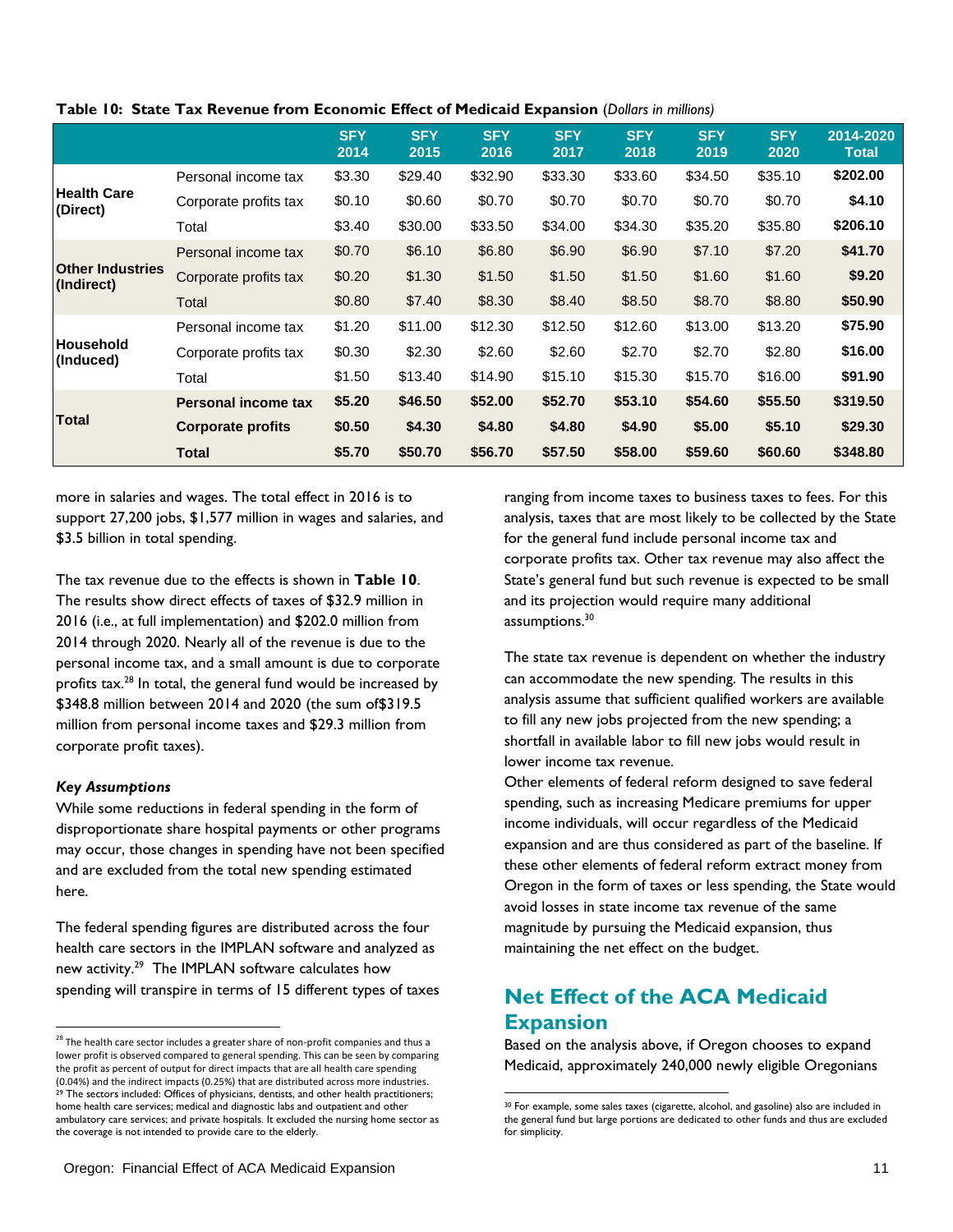|                                       |                          | <b>SFY</b><br>2014 | <b>SFY</b><br>2015 | <b>SFY</b><br>2016 | <b>SFY</b><br>2017 | <b>SFY</b><br>2018 | <b>SFY</b><br>2019 | <b>SFY</b><br>2020 | 2014-2020<br><b>Total</b> |
|---------------------------------------|--------------------------|--------------------|--------------------|--------------------|--------------------|--------------------|--------------------|--------------------|---------------------------|
|                                       | Personal income tax      | \$3.30             | \$29.40            | \$32.90            | \$33.30            | \$33.60            | \$34.50            | \$35.10            | \$202.00                  |
| <b>Health Care</b><br>(Direct)        | Corporate profits tax    | \$0.10             | \$0.60             | \$0.70             | \$0.70             | \$0.70             | \$0.70             | \$0.70             | \$4.10                    |
|                                       | Total                    | \$3.40             | \$30.00            | \$33.50            | \$34.00            | \$34.30            | \$35.20            | \$35.80            | \$206.10                  |
|                                       | Personal income tax      | \$0.70             | \$6.10             | \$6.80             | \$6.90             | \$6.90             | \$7.10             | \$7.20             | \$41.70                   |
| <b>Other Industries</b><br>(Indirect) | Corporate profits tax    | \$0.20             | \$1.30             | \$1.50             | \$1.50             | \$1.50             | \$1.60             | \$1.60             | \$9.20                    |
|                                       | Total                    | \$0.80             | \$7.40             | \$8.30             | \$8.40             | \$8.50             | \$8.70             | \$8.80             | \$50.90                   |
|                                       | Personal income tax      | \$1.20             | \$11.00            | \$12.30            | \$12.50            | \$12.60            | \$13.00            | \$13.20            | \$75.90                   |
| Household<br>(Induced)                | Corporate profits tax    | \$0.30             | \$2.30             | \$2.60             | \$2.60             | \$2.70             | \$2.70             | \$2.80             | \$16.00                   |
|                                       | Total                    | \$1.50             | \$13.40            | \$14.90            | \$15.10            | \$15.30            | \$15.70            | \$16.00            | \$91.90                   |
|                                       | Personal income tax      | \$5.20             | \$46.50            | \$52.00            | \$52.70            | \$53.10            | \$54.60            | \$55.50            | \$319.50                  |
| <b>Total</b>                          | <b>Corporate profits</b> | \$0.50             | \$4.30             | \$4.80             | \$4.80             | \$4.90             | \$5.00             | \$5.10             | \$29.30                   |
|                                       | <b>Total</b>             | \$5.70             | \$50.70            | \$56.70            | \$57.50            | \$58.00            | \$59.60            | \$60.60            | \$348.80                  |

**Table 10: State Tax Revenue from Economic Effect of Medicaid Expansion** (*Dollars in millions)*

more in salaries and wages. The total effect in 2016 is to support 27,200 jobs, \$1,577 million in wages and salaries, and \$3.5 billion in total spending.

The tax revenue due to the effects is shown in **Table 10**. The results show direct effects of taxes of \$32.9 million in 2016 (i.e., at full implementation) and \$202.0 million from 2014 through 2020. Nearly all of the revenue is due to the personal income tax, and a small amount is due to corporate profits  $\text{tax.}^{28}$  In total, the general fund would be increased by \$348.8 million between 2014 and 2020 (the sum of\$319.5 million from personal income taxes and \$29.3 million from corporate profit taxes).

## *Key Assumptions*

l

While some reductions in federal spending in the form of disproportionate share hospital payments or other programs may occur, those changes in spending have not been specified and are excluded from the total new spending estimated here.

The federal spending figures are distributed across the four health care sectors in the IMPLAN software and analyzed as new activity.<sup>29</sup> The IMPLAN software calculates how spending will transpire in terms of 15 different types of taxes

ranging from income taxes to business taxes to fees. For this analysis, taxes that are most likely to be collected by the State for the general fund include personal income tax and corporate profits tax. Other tax revenue may also affect the State's general fund but such revenue is expected to be small and its projection would require many additional assumptions.<sup>30</sup>

The state tax revenue is dependent on whether the industry can accommodate the new spending. The results in this analysis assume that sufficient qualified workers are available to fill any new jobs projected from the new spending; a shortfall in available labor to fill new jobs would result in lower income tax revenue.

Other elements of federal reform designed to save federal spending, such as increasing Medicare premiums for upper income individuals, will occur regardless of the Medicaid expansion and are thus considered as part of the baseline. If these other elements of federal reform extract money from Oregon in the form of taxes or less spending, the State would avoid losses in state income tax revenue of the same magnitude by pursuing the Medicaid expansion, thus maintaining the net effect on the budget.

## **Net Effect of the ACA Medicaid Expansion**

 $\overline{\phantom{a}}$ 

Based on the analysis above, if Oregon chooses to expand Medicaid, approximately 240,000 newly eligible Oregonians

 $^{28}$  The health care sector includes a greater share of non-profit companies and thus a lower profit is observed compared to general spending. This can be seen by comparing the profit as percent of output for direct impacts that are all health care spending (0.04%) and the indirect impacts (0.25%) that are distributed across more industries. <sup>29</sup> The sectors included: Offices of physicians, dentists, and other health practitioners; home health care services; medical and diagnostic labs and outpatient and other ambulatory care services; and private hospitals. It excluded the nursing home sector as the coverage is not intended to provide care to the elderly.

<sup>30</sup> For example, some sales taxes (cigarette, alcohol, and gasoline) also are included in the general fund but large portions are dedicated to other funds and thus are excluded for simplicity.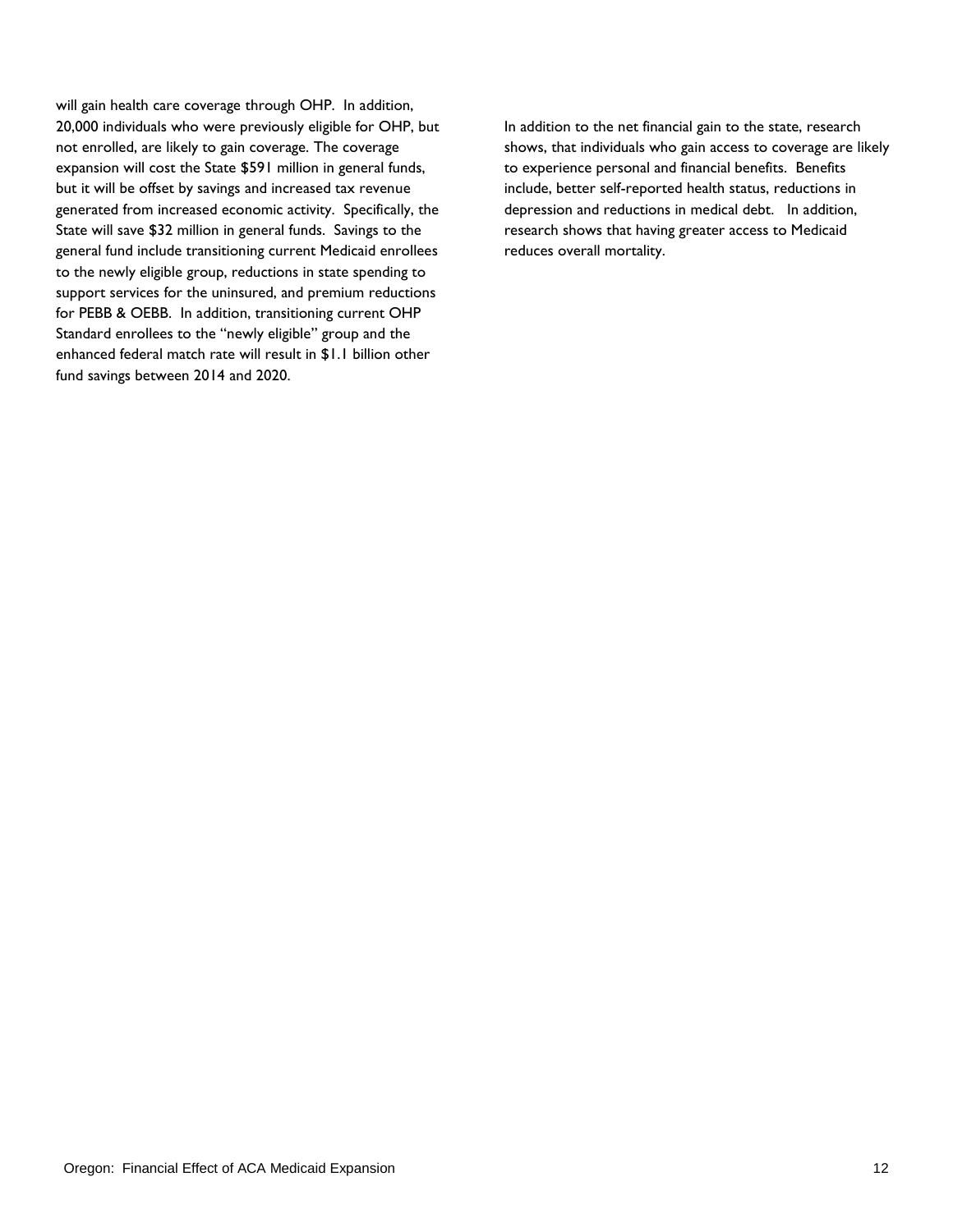will gain health care coverage through OHP. In addition, 20,000 individuals who were previously eligible for OHP, but not enrolled, are likely to gain coverage. The coverage expansion will cost the State \$591 million in general funds, but it will be offset by savings and increased tax revenue generated from increased economic activity. Specifically, the State will save \$32 million in general funds. Savings to the general fund include transitioning current Medicaid enrollees to the newly eligible group, reductions in state spending to support services for the uninsured, and premium reductions for PEBB & OEBB. In addition, transitioning current OHP Standard enrollees to the "newly eligible" group and the enhanced federal match rate will result in \$1.1 billion other fund savings between 2014 and 2020.

In addition to the net financial gain to the state, research shows, that individuals who gain access to coverage are likely to experience personal and financial benefits. Benefits include, better self-reported health status, reductions in depression and reductions in medical debt. In addition, research shows that having greater access to Medicaid reduces overall mortality.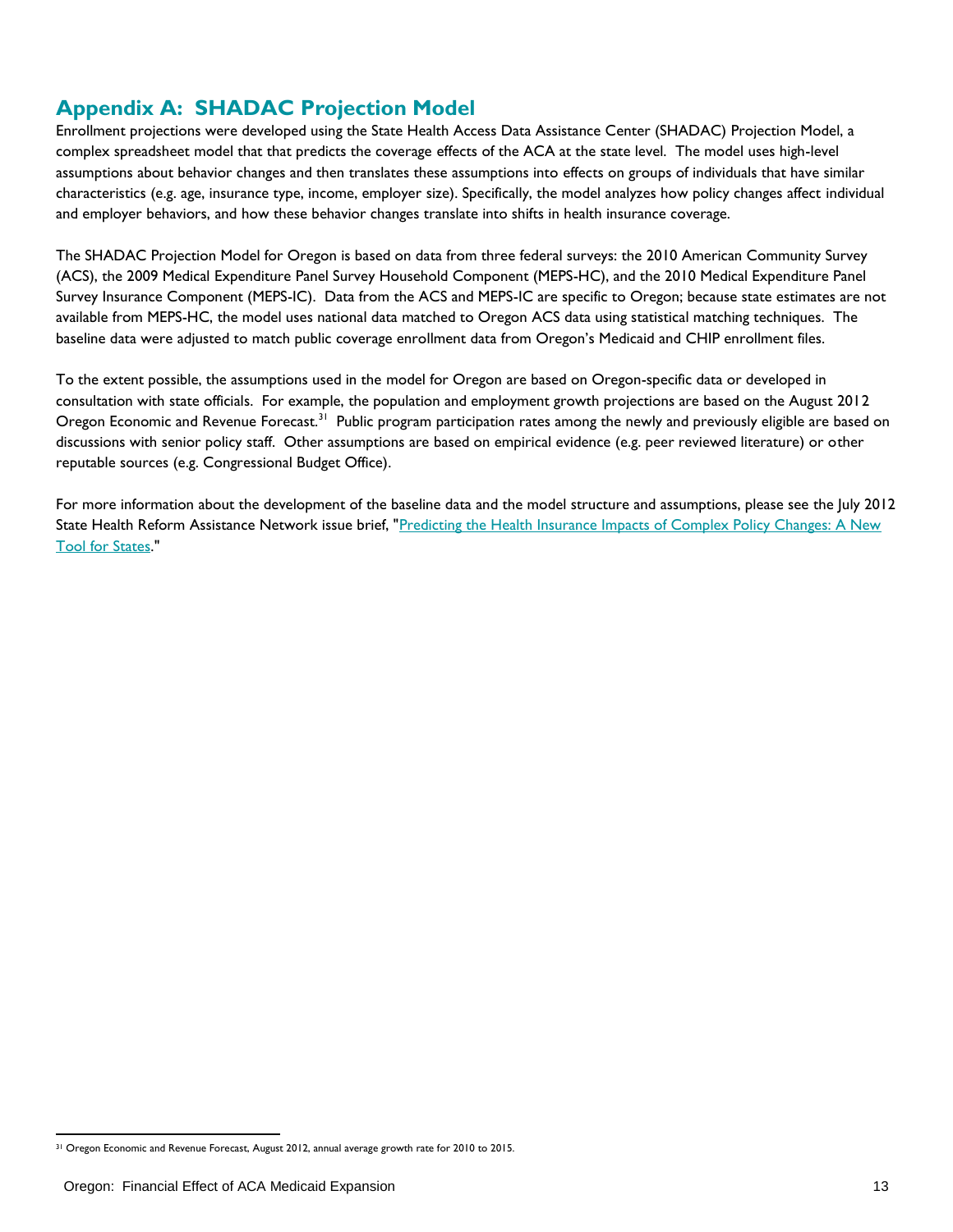## **Appendix A: SHADAC Projection Model**

Enrollment projections were developed using the State Health Access Data Assistance Center (SHADAC) Projection Model, a complex spreadsheet model that that predicts the coverage effects of the ACA at the state level. The model uses high-level assumptions about behavior changes and then translates these assumptions into effects on groups of individuals that have similar characteristics (e.g. age, insurance type, income, employer size). Specifically, the model analyzes how policy changes affect individual and employer behaviors, and how these behavior changes translate into shifts in health insurance coverage.

The SHADAC Projection Model for Oregon is based on data from three federal surveys: the 2010 American Community Survey (ACS), the 2009 Medical Expenditure Panel Survey Household Component (MEPS-HC), and the 2010 Medical Expenditure Panel Survey Insurance Component (MEPS-IC). Data from the ACS and MEPS-IC are specific to Oregon; because state estimates are not available from MEPS-HC, the model uses national data matched to Oregon ACS data using statistical matching techniques. The baseline data were adjusted to match public coverage enrollment data from Oregon's Medicaid and CHIP enrollment files.

To the extent possible, the assumptions used in the model for Oregon are based on Oregon-specific data or developed in consultation with state officials. For example, the population and employment growth projections are based on the August 2012 Oregon Economic and Revenue Forecast.<sup>31</sup> Public program participation rates among the newly and previously eligible are based on discussions with senior policy staff. Other assumptions are based on empirical evidence (e.g. peer reviewed literature) or other reputable sources (e.g. Congressional Budget Office).

For more information about the development of the baseline data and the model structure and assumptions, please see the July 2012 State Health Reform Assistance Network issue brief, ["Predicting the Health Insurance Impacts of Complex Policy Changes: A New](http://www.shadac.org/publications/predicting-health-insurance-impacts-complex-policy-changes-new-tool-states)  [Tool for States.](http://www.shadac.org/publications/predicting-health-insurance-impacts-complex-policy-changes-new-tool-states)"

<sup>&</sup>lt;sup>31</sup> Oregon Economic and Revenue Forecast, August 2012, annual average growth rate for 2010 to 2015.